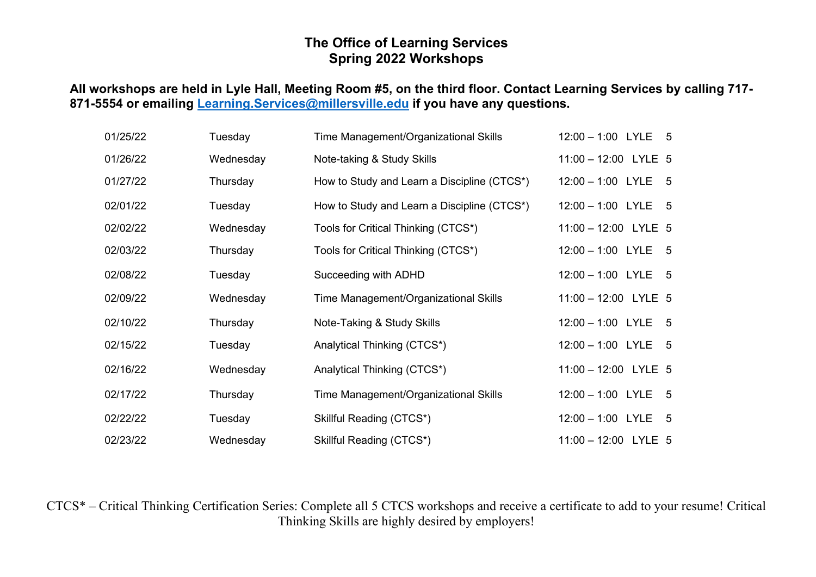## **The Office of Learning Services Spring 2022 Workshops**

## **All workshops are held in Lyle Hall, Meeting Room #5, on the third floor. Contact Learning Services by calling 717- 871-5554 or emailing [Learning.Services@millersville.edu](mailto:Learning.Services@millersville.edu) if you have any questions.**

| 01/25/22 | Tuesday   | Time Management/Organizational Skills       | 12:00 - 1:00 LYLE 5    |
|----------|-----------|---------------------------------------------|------------------------|
| 01/26/22 | Wednesday | Note-taking & Study Skills                  | $11:00 - 12:00$ LYLE 5 |
| 01/27/22 | Thursday  | How to Study and Learn a Discipline (CTCS*) | $12:00 - 1:00$ LYLE 5  |
| 02/01/22 | Tuesday   | How to Study and Learn a Discipline (CTCS*) | $12:00 - 1:00$ LYLE 5  |
| 02/02/22 | Wednesday | Tools for Critical Thinking (CTCS*)         | 11:00 - 12:00 LYLE 5   |
| 02/03/22 | Thursday  | Tools for Critical Thinking (CTCS*)         | $12:00 - 1:00$ LYLE 5  |
| 02/08/22 | Tuesday   | Succeeding with ADHD                        | $12:00 - 1:00$ LYLE 5  |
| 02/09/22 | Wednesday | Time Management/Organizational Skills       | 11:00 - 12:00 LYLE 5   |
| 02/10/22 | Thursday  | Note-Taking & Study Skills                  | $12:00 - 1:00$ LYLE 5  |
| 02/15/22 | Tuesday   | Analytical Thinking (CTCS*)                 | $12:00 - 1:00$ LYLE 5  |
| 02/16/22 | Wednesday | Analytical Thinking (CTCS*)                 | 11:00 - 12:00 LYLE 5   |
| 02/17/22 | Thursday  | Time Management/Organizational Skills       | $12:00 - 1:00$ LYLE 5  |
| 02/22/22 | Tuesday   | Skillful Reading (CTCS*)                    | $12:00 - 1:00$ LYLE 5  |
| 02/23/22 | Wednesday | Skillful Reading (CTCS*)                    | 11:00 - 12:00 LYLE 5   |

CTCS\* – Critical Thinking Certification Series: Complete all 5 CTCS workshops and receive a certificate to add to your resume! Critical Thinking Skills are highly desired by employers!